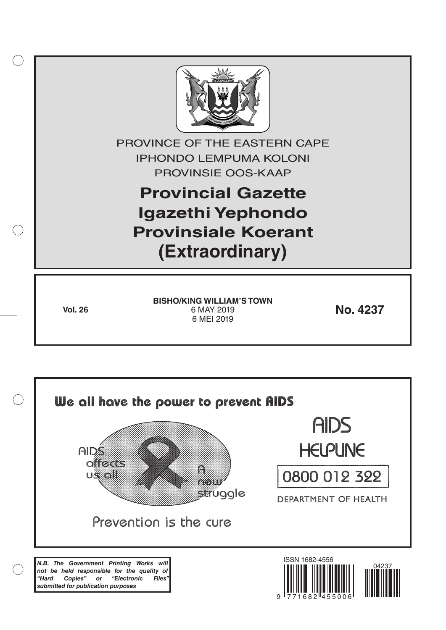

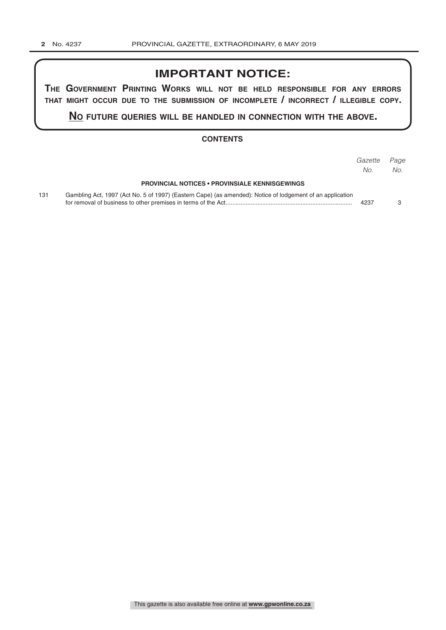## **IMPORTANT NOTICE:**

**The GovernmenT PrinTinG Works Will noT be held resPonsible for any errors ThaT miGhT occur due To The submission of incomPleTe / incorrecT / illeGible coPy.**

**no fuTure queries Will be handled in connecTion WiTh The above.**

## **CONTENTS**

|     |                                                                                                           | Gazette<br>No. | Page<br>No. |
|-----|-----------------------------------------------------------------------------------------------------------|----------------|-------------|
|     | <b>PROVINCIAL NOTICES • PROVINSIALE KENNISGEWINGS</b>                                                     |                |             |
| 131 | Gambling Act, 1997 (Act No. 5 of 1997) (Eastern Cape) (as amended): Notice of lodgement of an application | 4237           |             |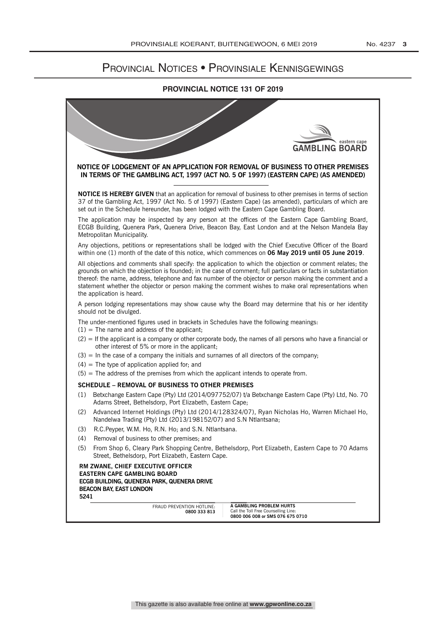## Provincial Notices • Provinsiale Kennisgewings

## **PROVINCIAL NOTICE 131 OF 2019**

|     | eastern cape<br><b>GAMBLING BOARD</b>                                                                                                                                                                                                                                                                                                                                                                                                                                       |  |  |  |  |
|-----|-----------------------------------------------------------------------------------------------------------------------------------------------------------------------------------------------------------------------------------------------------------------------------------------------------------------------------------------------------------------------------------------------------------------------------------------------------------------------------|--|--|--|--|
|     | NOTICE OF LODGEMENT OF AN APPLICATION FOR REMOVAL OF BUSINESS TO OTHER PREMISES<br>IN TERMS OF THE GAMBLING ACT, 1997 (ACT NO. 5 OF 1997) (EASTERN CAPE) (AS AMENDED)                                                                                                                                                                                                                                                                                                       |  |  |  |  |
|     | <b>NOTICE IS HEREBY GIVEN</b> that an application for removal of business to other premises in terms of section<br>37 of the Gambling Act, 1997 (Act No. 5 of 1997) (Eastern Cape) (as amended), particulars of which are<br>set out in the Schedule hereunder, has been lodged with the Eastern Cape Gambling Board.                                                                                                                                                       |  |  |  |  |
|     | The application may be inspected by any person at the offices of the Eastern Cape Gambling Board,<br>ECGB Building, Quenera Park, Quenera Drive, Beacon Bay, East London and at the Nelson Mandela Bay<br>Metropolitan Municipality.                                                                                                                                                                                                                                        |  |  |  |  |
|     | Any objections, petitions or representations shall be lodged with the Chief Executive Officer of the Board<br>within one (1) month of the date of this notice, which commences on 06 May 2019 until 05 June 2019.                                                                                                                                                                                                                                                           |  |  |  |  |
|     | All objections and comments shall specify: the application to which the objection or comment relates; the<br>grounds on which the objection is founded; in the case of comment; full particulars or facts in substantiation<br>thereof: the name, address, telephone and fax number of the objector or person making the comment and a<br>statement whether the objector or person making the comment wishes to make oral representations when<br>the application is heard. |  |  |  |  |
|     | A person lodging representations may show cause why the Board may determine that his or her identity<br>should not be divulged.                                                                                                                                                                                                                                                                                                                                             |  |  |  |  |
|     | The under-mentioned figures used in brackets in Schedules have the following meanings:<br>$(1)$ = The name and address of the applicant;                                                                                                                                                                                                                                                                                                                                    |  |  |  |  |
|     | $(2)$ = If the applicant is a company or other corporate body, the names of all persons who have a financial or<br>other interest of 5% or more in the applicant;                                                                                                                                                                                                                                                                                                           |  |  |  |  |
|     | $(3)$ = In the case of a company the initials and surnames of all directors of the company;                                                                                                                                                                                                                                                                                                                                                                                 |  |  |  |  |
|     | $(4)$ = The type of application applied for; and                                                                                                                                                                                                                                                                                                                                                                                                                            |  |  |  |  |
|     | $(5)$ = The address of the premises from which the applicant intends to operate from.                                                                                                                                                                                                                                                                                                                                                                                       |  |  |  |  |
|     | <b>SCHEDULE - REMOVAL OF BUSINESS TO OTHER PREMISES</b>                                                                                                                                                                                                                                                                                                                                                                                                                     |  |  |  |  |
| (1) | Betxchange Eastern Cape (Pty) Ltd (2014/097752/07) t/a Betxchange Eastern Cape (Pty) Ltd, No. 70<br>Adams Street, Bethelsdorp, Port Elizabeth, Eastern Cape;                                                                                                                                                                                                                                                                                                                |  |  |  |  |
| (2) | Advanced Internet Holdings (Pty) Ltd (2014/128324/07), Ryan Nicholas Ho, Warren Michael Ho,<br>Nandelwa Trading (Pty) Ltd (2013/198152/07) and S.N Ntlantsana;                                                                                                                                                                                                                                                                                                              |  |  |  |  |
| (3) | R.C.Peyper, W.M. Ho, R.N. Ho; and S.N. Ntlantsana.                                                                                                                                                                                                                                                                                                                                                                                                                          |  |  |  |  |
| (4) | Removal of business to other premises; and                                                                                                                                                                                                                                                                                                                                                                                                                                  |  |  |  |  |
| (5) | From Shop 6, Cleary Park Shopping Centre, Bethelsdorp, Port Elizabeth, Eastern Cape to 70 Adams<br>Street, Bethelsdorp, Port Elizabeth, Eastern Cape.                                                                                                                                                                                                                                                                                                                       |  |  |  |  |
|     | RM ZWANE, CHIEF EXECUTIVE OFFICER<br><b>EASTERN CAPE GAMBLING BOARD</b><br>ECGB BUILDING, QUENERA PARK, QUENERA DRIVE<br>BEACON BAY, EAST LONDON<br>5241                                                                                                                                                                                                                                                                                                                    |  |  |  |  |
|     | A GAMBLING PROBLEM HURTS<br>FRAUD PREVENTION HOTLINE:<br>Call the Toll Free Counselling Line:<br>0800 333 813<br>0800 006 008 or SMS 076 675 0710                                                                                                                                                                                                                                                                                                                           |  |  |  |  |